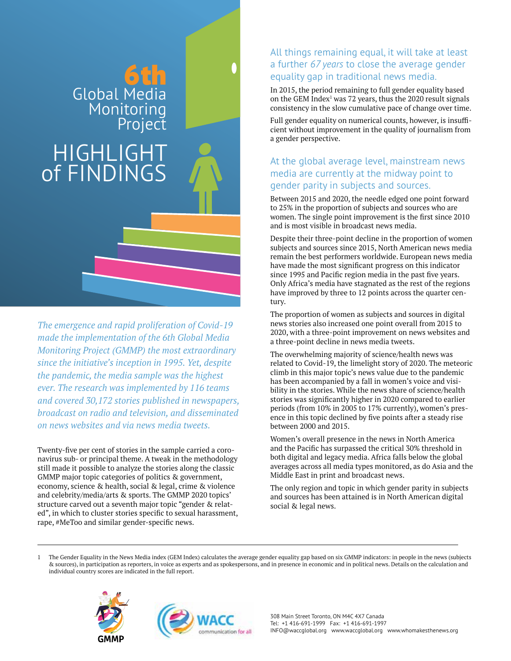# 6th Global Media Monitoring

## **HIGHLIG** of FINDINGS

*The emergence and rapid proliferation of Covid-19 made the implementation of the 6th Global Media Monitoring Project (GMMP) the most extraordinary since the initiative's inception in 1995. Yet, despite the pandemic, the media sample was the highest ever. The research was implemented by 116 teams and covered 30,172 stories published in newspapers, broadcast on radio and television, and disseminated on news websites and via news media tweets.* 

Twenty-five per cent of stories in the sample carried a coronavirus sub- or principal theme. A tweak in the methodology still made it possible to analyze the stories along the classic GMMP major topic categories of politics & government, economy, science & health, social & legal, crime & violence and celebrity/media/arts & sports. The GMMP 2020 topics' structure carved out a seventh major topic "gender & related", in which to cluster stories specific to sexual harassment, rape, #MeToo and similar gender-specific news.

#### All things remaining equal, it will take at least a further *67 years* to close the average gender equality gap in traditional news media.

In 2015, the period remaining to full gender equality based on the GEM Index<sup>1</sup> was 72 years, thus the 2020 result signals consistency in the slow cumulative pace of change over time.

Full gender equality on numerical counts, however, is insufficient without improvement in the quality of journalism from a gender perspective.

#### At the global average level, mainstream news media are currently at the midway point to gender parity in subjects and sources.

Between 2015 and 2020, the needle edged one point forward to 25% in the proportion of subjects and sources who are women. The single point improvement is the first since 2010 and is most visible in broadcast news media.

Despite their three-point decline in the proportion of women subjects and sources since 2015, North American news media remain the best performers worldwide. European news media have made the most significant progress on this indicator since 1995 and Pacific region media in the past five years. Only Africa's media have stagnated as the rest of the regions have improved by three to 12 points across the quarter century.

The proportion of women as subjects and sources in digital news stories also increased one point overall from 2015 to 2020, with a three-point improvement on news websites and a three-point decline in news media tweets.

The overwhelming majority of science/health news was related to Covid-19, the limelight story of 2020. The meteoric climb in this major topic's news value due to the pandemic has been accompanied by a fall in women's voice and visibility in the stories. While the news share of science/health stories was significantly higher in 2020 compared to earlier periods (from 10% in 2005 to 17% currently), women's presence in this topic declined by five points after a steady rise between 2000 and 2015.

Women's overall presence in the news in North America and the Pacific has surpassed the critical 30% threshold in both digital and legacy media. Africa falls below the global averages across all media types monitored, as do Asia and the Middle East in print and broadcast news.

The only region and topic in which gender parity in subjects and sources has been attained is in North American digital social & legal news.

1 The Gender Equality in the News Media index (GEM Index) calculates the average gender equality gap based on six GMMP indicators: in people in the news (subjects & sources), in participation as reporters, in voice as experts and as spokespersons, and in presence in economic and in political news. Details on the calculation and individual country scores are indicated in the full report.

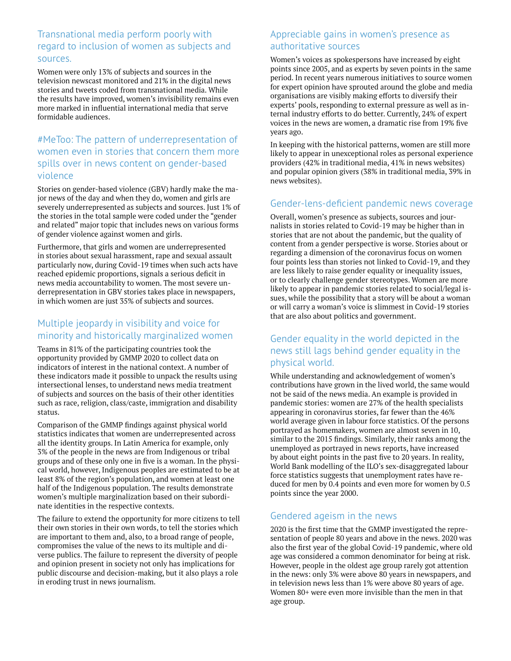#### Transnational media perform poorly with regard to inclusion of women as subjects and sources.

Women were only 13% of subjects and sources in the television newscast monitored and 21% in the digital news stories and tweets coded from transnational media. While the results have improved, women's invisibility remains even more marked in influential international media that serve formidable audiences.

#### #MeToo: The pattern of underrepresentation of women even in stories that concern them more spills over in news content on gender-based violence

Stories on gender-based violence (GBV) hardly make the major news of the day and when they do, women and girls are severely underrepresented as subjects and sources. Just 1% of the stories in the total sample were coded under the "gender and related" major topic that includes news on various forms of gender violence against women and girls.

Furthermore, that girls and women are underrepresented in stories about sexual harassment, rape and sexual assault particularly now, during Covid-19 times when such acts have reached epidemic proportions, signals a serious deficit in news media accountability to women. The most severe underrepresentation in GBV stories takes place in newspapers, in which women are just 35% of subjects and sources.

#### Multiple jeopardy in visibility and voice for minority and historically marginalized women

Teams in 81% of the participating countries took the opportunity provided by GMMP 2020 to collect data on indicators of interest in the national context. A number of these indicators made it possible to unpack the results using intersectional lenses, to understand news media treatment of subjects and sources on the basis of their other identities such as race, religion, class/caste, immigration and disability status.

Comparison of the GMMP findings against physical world statistics indicates that women are underrepresented across all the identity groups. In Latin America for example, only 3% of the people in the news are from Indigenous or tribal groups and of these only one in five is a woman. In the physical world, however, Indigenous peoples are estimated to be at least 8% of the region's population, and women at least one half of the Indigenous population. The results demonstrate women's multiple marginalization based on their subordinate identities in the respective contexts.

The failure to extend the opportunity for more citizens to tell their own stories in their own words, to tell the stories which are important to them and, also, to a broad range of people, compromises the value of the news to its multiple and diverse publics. The failure to represent the diversity of people and opinion present in society not only has implications for public discourse and decision-making, but it also plays a role in eroding trust in news journalism.

#### Appreciable gains in women's presence as authoritative sources

Women's voices as spokespersons have increased by eight points since 2005, and as experts by seven points in the same period. In recent years numerous initiatives to source women for expert opinion have sprouted around the globe and media organisations are visibly making efforts to diversify their experts' pools, responding to external pressure as well as internal industry efforts to do better. Currently, 24% of expert voices in the news are women, a dramatic rise from 19% five years ago.

In keeping with the historical patterns, women are still more likely to appear in unexceptional roles as personal experience providers (42% in traditional media, 41% in news websites) and popular opinion givers (38% in traditional media, 39% in news websites).

#### Gender-lens-deficient pandemic news coverage

Overall, women's presence as subjects, sources and journalists in stories related to Covid-19 may be higher than in stories that are not about the pandemic, but the quality of content from a gender perspective is worse. Stories about or regarding a dimension of the coronavirus focus on women four points less than stories not linked to Covid-19, and they are less likely to raise gender equality or inequality issues, or to clearly challenge gender stereotypes. Women are more likely to appear in pandemic stories related to social/legal issues, while the possibility that a story will be about a woman or will carry a woman's voice is slimmest in Covid-19 stories that are also about politics and government.

#### Gender equality in the world depicted in the news still lags behind gender equality in the physical world.

While understanding and acknowledgement of women's contributions have grown in the lived world, the same would not be said of the news media. An example is provided in pandemic stories: women are 27% of the health specialists appearing in coronavirus stories, far fewer than the 46% world average given in labour force statistics. Of the persons portrayed as homemakers, women are almost seven in 10, similar to the 2015 findings. Similarly, their ranks among the unemployed as portrayed in news reports, have increased by about eight points in the past five to 20 years. In reality, World Bank modelling of the ILO's sex-disaggregated labour force statistics suggests that unemployment rates have reduced for men by 0.4 points and even more for women by 0.5 points since the year 2000.

#### Gendered ageism in the news

2020 is the first time that the GMMP investigated the representation of people 80 years and above in the news. 2020 was also the first year of the global Covid-19 pandemic, where old age was considered a common denominator for being at risk. However, people in the oldest age group rarely got attention in the news: only 3% were above 80 years in newspapers, and in television news less than 1% were above 80 years of age. Women 80+ were even more invisible than the men in that age group.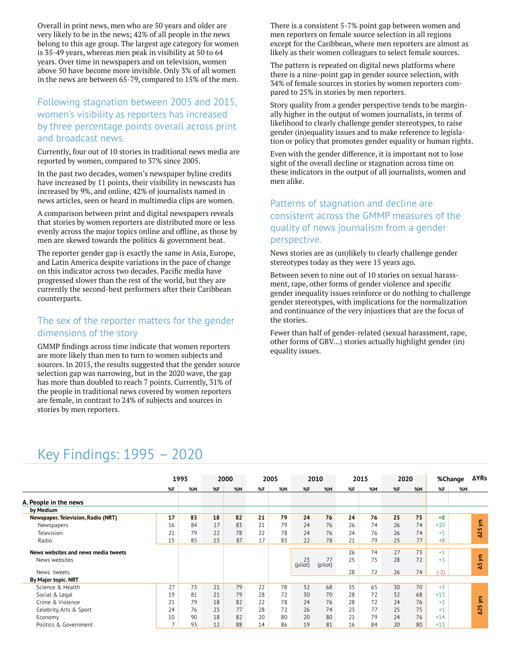Overall in print news, men who are 50 years and older are very likely to be in the news; 42% of all people in the news belong to this age group. The largest age category for women is 35-49 years, whereas men peak in visibility at 50 to 64 years. Over time in newspapers and on television, women above 50 have become more invisible. Only 3% of all women in the news are between 65-79, compared to 15% of the men.

#### Following stagnation between 2005 and 2015, women's visibility as reporters has increased by three percentage points overall across print and broadcast news.

Currently, four out of 10 stories in traditional news media are reported by women, compared to 37% since 2005.

In the past two decades, women's newspaper byline credits have increased by 11 points, their visibility in newscasts has increased by 9%, and online, 42% of journalists named in news articles, seen or heard in multimedia clips are women.

A comparison between print and digital newspapers reveals that stories by women reporters are distributed more or less evenly across the major topics online and offline, as those by men are skewed towards the politics & government beat.

The reporter gender gap is exactly the same in Asia, Europe, and Latin America despite variations in the pace of change on this indicator across two decades. Pacific media have progressed slower than the rest of the world, but they are currently the second-best performers after their Caribbean counterparts.

#### The sex of the reporter matters for the gender dimensions of the story

GMMP findings across time indicate that women reporters are more likely than men to turn to women subjects and sources. In 2015, the results suggested that the gender source selection gap was narrowing, but in the 2020 wave, the gap has more than doubled to reach 7 points. Currently, 31% of the people in traditional news covered by women reporters are female, in contrast to 24% of subjects and sources in stories by men reporters.

There is a consistent 5-7% point gap between women and men reporters on female source selection in all regions except for the Caribbean, where men reporters are almost as likely as their women colleagues to select female sources.

The pattern is repeated on digital news platforms where there is a nine-point gap in gender source selection, with 34% of female sources in stories by women reporters compared to 25% in stories by men reporters.

Story quality from a gender perspective tends to be marginally higher in the output of women journalists, in terms of likelihood to clearly challenge gender stereotypes, to raise gender (in)equality issues and to make reference to legislation or policy that promotes gender equality or human rights.

Even with the gender difference, it is important not to lose sight of the overall decline or stagnation across time on these indicators in the output of all journalists, women and men alike.

#### Patterns of stagnation and decline are consistent across the GMMP measures of the quality of news journalism from a gender perspective.

News stories are as (un)likely to clearly challenge gender stereotypes today as they were 15 years ago.

Between seven to nine out of 10 stories on sexual harassment, rape, other forms of gender violence and specific gender inequality issues reinforce or do nothing to challenge gender stereotypes, with implications for the normalization and continuance of the very injustices that are the focus of the stories.

Fewer than half of gender-related (sexual harassment, rape, other forms of GBV…) stories actually highlight gender (in) equality issues.

### Key Findings: 1995 – 2020

|                                     | 1995           |    | 2000 |    | 2005 |    | 2010            |               | 2015 |    | 2020 |           |        | <b>ΔYRs</b><br>%Change |
|-------------------------------------|----------------|----|------|----|------|----|-----------------|---------------|------|----|------|-----------|--------|------------------------|
|                                     | %F             | %M | %F   | %M | %F   | %M | %F              | %M            | %F   | %M | %F   | <b>%M</b> | %F     | <b>%M</b>              |
| A. People in the news               |                |    |      |    |      |    |                 |               |      |    |      |           |        |                        |
| by Medium                           |                |    |      |    |      |    |                 |               |      |    |      |           |        |                        |
| Newspaper, Television, Radio (NRT)  | 17             | 83 | 18   | 82 | 21   | 79 | 24              | 76            | 24   | 76 | 25   | 75        | $+8$   |                        |
| Newspapers                          | 16             | 84 | 17   | 83 | 21   | 79 | 24              | 76            | 26   | 74 | 26   | 74        | $+10$  | yrs                    |
| Television                          | 21             | 79 | 22   | 78 | 22   | 78 | 24              | 76            | 24   | 76 | 26   | 74        | $+5$   | $\Delta$ <sub>25</sub> |
| Radio                               | 15             | 85 | 13   | 87 | 17   | 83 | 22              | 78            | 21   | 79 | 23   | 77        | $+8$   |                        |
|                                     |                |    |      |    |      |    |                 |               |      |    |      |           |        |                        |
| News websites and news media tweets |                |    |      |    |      |    |                 |               | 26   | 74 | 27   | 73        | $+1$   | yrs                    |
| News websites                       |                |    |      |    |      |    | $23$<br>(pilot) | 77<br>(pilot) | 25   | 75 | 28   | 72        | $+3$   | ¥,                     |
| News tweets                         |                |    |      |    |      |    |                 |               | 28   | 72 | 26   | 74        | $(-2)$ |                        |
| By Major topic. NRT                 |                |    |      |    |      |    |                 |               |      |    |      |           |        |                        |
| Science & Health                    | 27             | 73 | 21   | 79 | 22   | 78 | 32              | 68            | 35   | 65 | 30   | 70        | $+3$   |                        |
| Social & Legal                      | 19             | 81 | 21   | 79 | 28   | 72 | 30              | 70            | 28   | 72 | 32   | 68        | $+13$  |                        |
| Crime & Violence                    | 21             | 79 | 18   | 82 | 22   | 78 | 24              | 76            | 28   | 72 | 24   | 76        | $+3$   | ξ.                     |
| Celebrity, Arts & Sport             | 24             | 76 | 23   | 77 | 28   | 72 | 26              | 74            | 23   | 77 | 25   | 75        | $+1$   | $\Delta$ 25            |
| Economy                             | 10             | 90 | 18   | 82 | 20   | 80 | 20              | 80            | 21   | 79 | 24   | 76        | $+14$  |                        |
| Politics & Government               | $\overline{7}$ | 93 | 12   | 88 | 14   | 86 | 19              | 81            | 16   | 84 | 20   | 80        | $+13$  |                        |